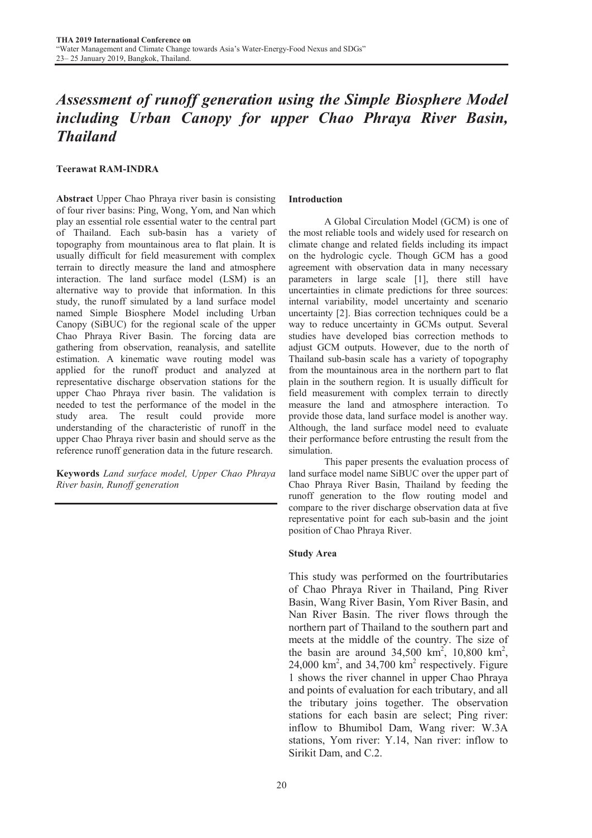# *Assessment of runoff generation using the Simple Biosphere Model including Urban Canopy for upper Chao Phraya River Basin, Thailand*

# Teerawat RAM-INDRA

Abstract Upper Chao Phraya river basin is consisting of four river basins: Ping, Wong, Yom, and Nan which play an essential role essential water to the central part of Thailand. Each sub-basin has a variety of topography from mountainous area to flat plain. It is usually difficult for field measurement with complex terrain to directly measure the land and atmosphere interaction. The land surface model (LSM) is an alternative way to provide that information. In this study, the runoff simulated by a land surface model named Simple Biosphere Model including Urban Canopy (SiBUC) for the regional scale of the upper Chao Phraya River Basin. The forcing data are gathering from observation, reanalysis, and satellite estimation. A kinematic wave routing model was applied for the runoff product and analyzed at representative discharge observation stations for the upper Chao Phraya river basin. The validation is needed to test the performance of the model in the study area. The result could provide more understanding of the characteristic of runoff in the upper Chao Phraya river basin and should serve as the reference runoff generation data in the future research.

Keywords *Land surface model, Upper Chao Phraya River basin, Runoff generation*

### Introduction

 A Global Circulation Model (GCM) is one of the most reliable tools and widely used for research on climate change and related fields including its impact on the hydrologic cycle. Though GCM has a good agreement with observation data in many necessary parameters in large scale [1], there still have uncertainties in climate predictions for three sources: internal variability, model uncertainty and scenario uncertainty [2]. Bias correction techniques could be a way to reduce uncertainty in GCMs output. Several studies have developed bias correction methods to adjust GCM outputs. However, due to the north of Thailand sub-basin scale has a variety of topography from the mountainous area in the northern part to flat plain in the southern region. It is usually difficult for field measurement with complex terrain to directly measure the land and atmosphere interaction. To provide those data, land surface model is another way. Although, the land surface model need to evaluate their performance before entrusting the result from the simulation.

 This paper presents the evaluation process of land surface model name SiBUC over the upper part of Chao Phraya River Basin, Thailand by feeding the runoff generation to the flow routing model and compare to the river discharge observation data at five representative point for each sub-basin and the joint position of Chao Phraya River.

## Study Area

This study was performed on the fourtributaries of Chao Phraya River in Thailand, Ping River Basin, Wang River Basin, Yom River Basin, and Nan River Basin. The river flows through the northern part of Thailand to the southern part and meets at the middle of the country. The size of the basin are around  $34,500 \text{ km}^2$ ,  $10,800 \text{ km}^2$ ,  $24,000$  km<sup>2</sup>, and  $34,700$  km<sup>2</sup> respectively. Figure 1 shows the river channel in upper Chao Phraya and points of evaluation for each tributary, and all the tributary joins together. The observation stations for each basin are select; Ping river: inflow to Bhumibol Dam, Wang river: W.3A stations, Yom river: Y.14, Nan river: inflow to Sirikit Dam, and C.2.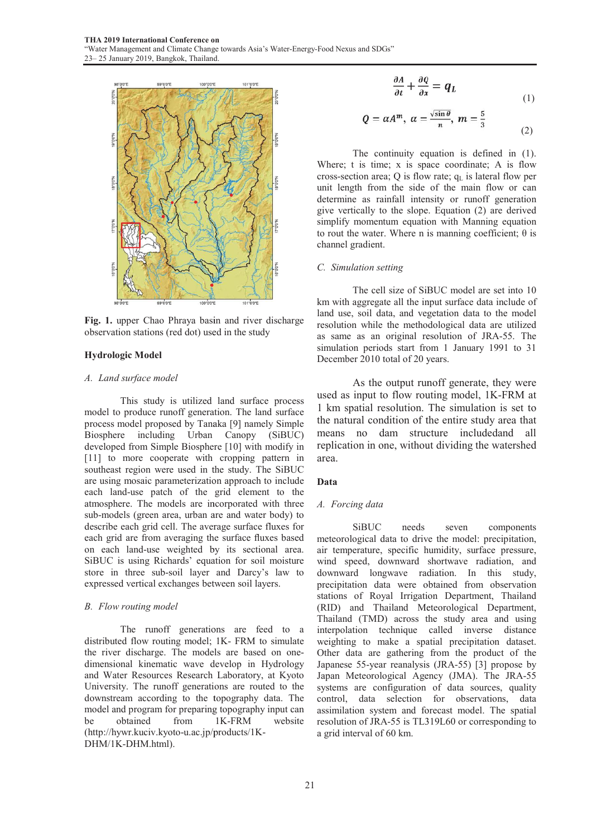

Fig. 1. upper Chao Phraya basin and river discharge observation stations (red dot) used in the study

## Hydrologic Model

#### *A. Land surface model*

This study is utilized land surface process model to produce runoff generation. The land surface process model proposed by Tanaka [9] namely Simple Biosphere including Urban Canopy (SiBUC) developed from Simple Biosphere [10] with modify in [11] to more cooperate with cropping pattern in southeast region were used in the study. The SiBUC are using mosaic parameterization approach to include each land-use patch of the grid element to the atmosphere. The models are incorporated with three sub-models (green area, urban are and water body) to describe each grid cell. The average surface fluxes for each grid are from averaging the surface fluxes based on each land-use weighted b by its sectional area. SiBUC is using Richards' equation for soil moisture store in three sub-soil layer and Darcy's law to expressed vertical exchanges between soil layers.

#### *B. Flow routing model*

The runoff generations are feed to a distributed flow routing model; 1K- FRM to simulate the river discharge. The models are based on onedimensional kinematic wave d develop in Hydrology and Water Resources Research Laboratory, at Kyoto University. The runoff generations are routed to the downstream according to the t topography data. The model and program for preparing topography input can be obtained from (http://hywr.kuciv.kyoto-u.ac.jp/p products/1K-DHM/1K-DHM.html). 1K-FRM website

$$
\frac{\partial A}{\partial t} + \frac{\partial Q}{\partial x} = q_L \tag{1}
$$

$$
Q = \alpha A^{m}, \ \alpha = \frac{\sqrt{\sin \theta}}{n}, \ m = \frac{5}{3}
$$
 (2)

The continuity equation is defined in (1). Where;  $t$  is time;  $x$  is space coordinate;  $A$  is flow cross-section area;  $Q$  is flow rate;  $q_L$  is lateral flow per unit length from the side of the main flow or can determine as rainfall intensity or runoff generation give vertically to the slope. Equation (2) are derived simplify momentum equation with Manning equation to rout the water. Where n is manning coefficient;  $θ$  is channel gradient.

#### *C. Simulation setting*

The cell size of SiBUC model are set into 10 km with aggregate all the input surface data include of land use, soil data, and vegetation data to the model resolution while the methodological data are utilized as same as an original resolution of JRA-55. The simulation periods start from 1 January 1991 to 31 December 2010 total of 20 years.

As the output runoff generate, they were used as input to flow routing model, 1K-FRM at 1 km spatial resolution. The simulation is set to the natural condition of the entire study area that means no dam structure includedand all replication in one, without dividing the watershed area.

#### Data

## *A. Forcing data*

SiBUC needs meteorological data to drive the model: precipitation, air temperature, specific h humidity, surface pressure, wind speed, downward shortwave radiation, and downward longwave radiation. In this study, precipitation data were obtained from observation stations of Royal Irrigation Department, Thailand (RID) and Thailand Meteorological Department, Thailand (TMD) across the study area and using interpolation technique called inverse distance weighting to make a spatial precipitation dataset. Other data are gathering from the product of the Japanese 55-year reanalysis (JRA-55) [3] propose by Japan Meteorological Agency (JMA). The JRA-55 systems are configuration of data sources, quality control, data selection for observations, data assimilation system and forecast model. The spatial resolution of JRA-55 is TL3 319L60 or corresponding to a grid interval of 60 km. seven components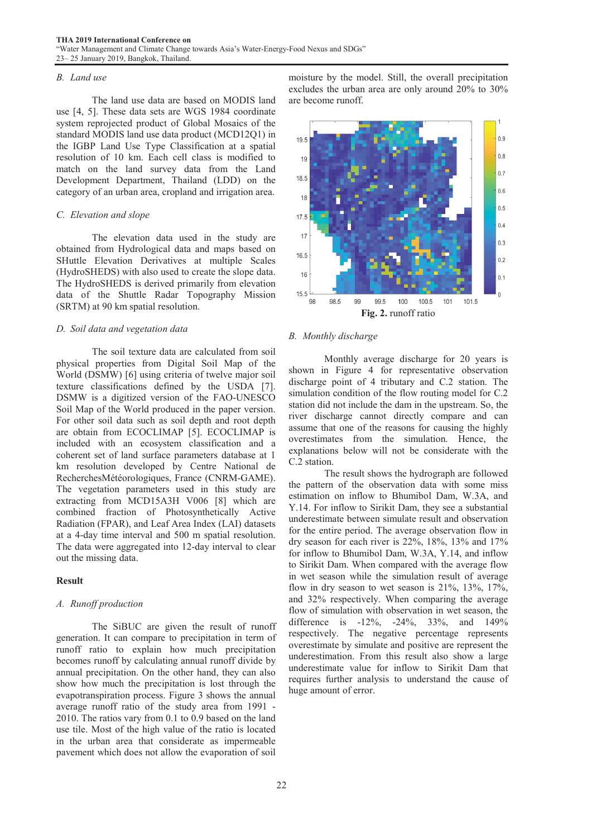## *B. Land use*

 The land use data are based on MODIS land use [4, 5]. These data sets are WGS 1984 coordinate system reprojected product of Global Mosaics of the standard MODIS land use data product (MCD12Q1) in the IGBP Land Use Type Classification at a spatial resolution of 10 km. Each cell class is modified to match on the land survey data from the Land Development Department, Thailand (LDD) on the category of an urban area, cropland and irrigation area.

# *C. Elevation and slope*

 The elevation data used in the study are obtained from Hydrological data and maps based on SHuttle Elevation Derivatives at multiple Scales (HydroSHEDS) with also used to create the slope data. The HydroSHEDS is derived primarily from elevation data of the Shuttle Radar Topography Mission (SRTM) at 90 km spatial resolution.

# *D. Soil data and vegetation data*

 The soil texture data are calculated from soil physical properties from Digital Soil Map of the World (DSMW) [6] using criteria of twelve major soil texture classifications defined by the USDA [7]. DSMW is a digitized version of the FAO-UNESCO Soil Map of the World produced in the paper version. For other soil data such as soil depth and root depth are obtain from ECOCLIMAP [5]. ECOCLIMAP is included with an ecosystem classification and a coherent set of land surface parameters database at 1 km resolution developed by Centre National de RecherchesMétéorologiques, France (CNRM-GAME). The vegetation parameters used in this study are extracting from MCD15A3H V006 [8] which are combined fraction of Photosynthetically Active Radiation (FPAR), and Leaf Area Index (LAI) datasets at a 4-day time interval and 500 m spatial resolution. The data were aggregated into 12-day interval to clear out the missing data.

# Result

# *A. Runoff production*

 The SiBUC are given the result of runoff generation. It can compare to precipitation in term of runoff ratio to explain how much precipitation becomes runoff by calculating annual runoff divide by annual precipitation. On the other hand, they can also show how much the precipitation is lost through the evapotranspiration process. Figure 3 shows the annual average runoff ratio of the study area from 1991 - 2010. The ratios vary from 0.1 to 0.9 based on the land use tile. Most of the high value of the ratio is located in the urban area that considerate as impermeable pavement which does not allow the evaporation of soil

moisture by the model. Still, the overall precipitation excludes the urban area are only around 20% to 30% are become runoff.



# *B. Monthly discharge*

 Monthly average discharge for 20 years is shown in Figure 4 for representative observation discharge point of 4 tributary and C.2 station. The simulation condition of the flow routing model for C.2 station did not include the dam in the upstream. So, the river discharge cannot directly compare and can assume that one of the reasons for causing the highly overestimates from the simulation. Hence, the explanations below will not be considerate with the C.2 station.

 The result shows the hydrograph are followed the pattern of the observation data with some miss estimation on inflow to Bhumibol Dam, W.3A, and Y.14. For inflow to Sirikit Dam, they see a substantial underestimate between simulate result and observation for the entire period. The average observation flow in dry season for each river is 22%, 18%, 13% and 17% for inflow to Bhumibol Dam, W.3A, Y.14, and inflow to Sirikit Dam. When compared with the average flow in wet season while the simulation result of average flow in dry season to wet season is 21%, 13%, 17%, and 32% respectively. When comparing the average flow of simulation with observation in wet season, the difference is -12%, -24%, 33%, and 149% respectively. The negative percentage represents overestimate by simulate and positive are represent the underestimation. From this result also show a large underestimate value for inflow to Sirikit Dam that requires further analysis to understand the cause of huge amount of error.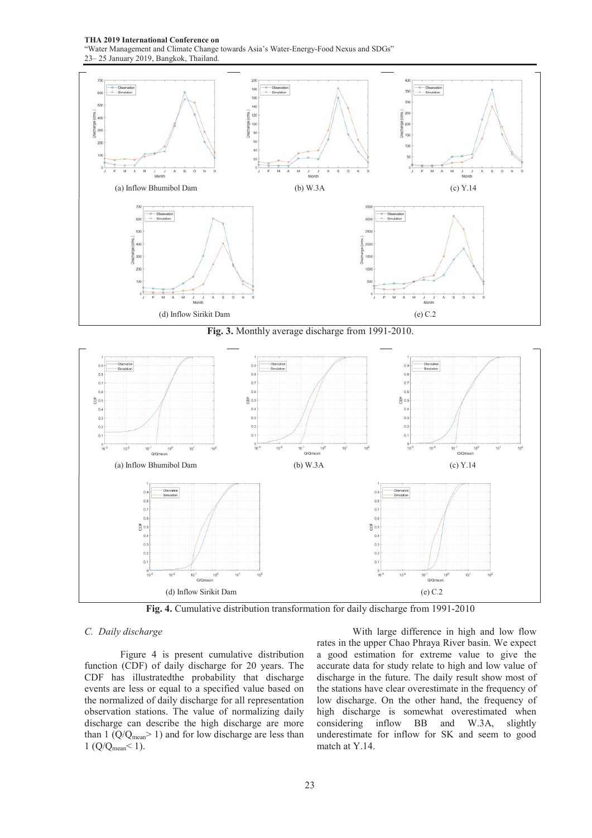THA 2019 International Conference on

"Water Management and Climate Change towards Asia's Water-Energy-Food Nexus and SDGs" 23– 25 January 2019, Bangkok, Thailand.



Fig. 3. Monthly average discharge from 1991-2010.



Fig. 4. Cumulative distribution transformation for daily discharge from 1991-2010

# *C. Daily discharge*

 Figure 4 is present cumulative distribution function (CDF) of daily discharge for 20 years. The CDF has illustratedthe probability that discharge events are less or equal to a specified value based on the normalized of daily discharge for all representation observation stations. The value of normalizing daily discharge can describe the high discharge are more than 1  $(Q/Q_{mean} > 1)$  and for low discharge are less than 1 (Q/Qmean< 1).

 With large difference in high and low flow rates in the upper Chao Phraya River basin. We expect a good estimation for extreme value to give the accurate data for study relate to high and low value of discharge in the future. The daily result show most of the stations have clear overestimate in the frequency of low discharge. On the other hand, the frequency of high discharge is somewhat overestimated when considering inflow BB and W.3A, slightly underestimate for inflow for SK and seem to good match at Y.14.